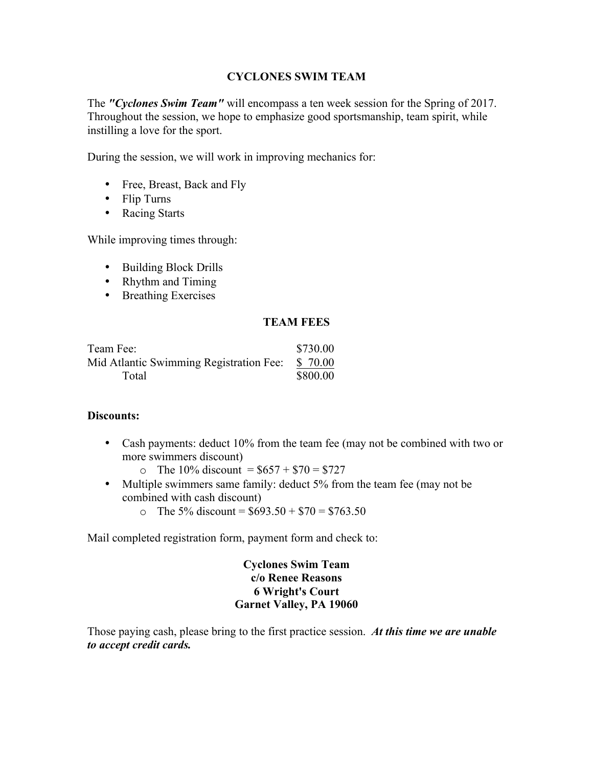The *"Cyclones Swim Team"* will encompass a ten week session for the Spring of 2017. Throughout the session, we hope to emphasize good sportsmanship, team spirit, while instilling a love for the sport.

During the session, we will work in improving mechanics for:

- Free, Breast, Back and Fly
- Flip Turns
- Racing Starts

While improving times through:

- Building Block Drills
- Rhythm and Timing
- Breathing Exercises

### **TEAM FEES**

| Team Fee:                               | \$730.00 |
|-----------------------------------------|----------|
| Mid Atlantic Swimming Registration Fee: | \$ 70.00 |
| Total                                   | \$800.00 |

## **Discounts:**

- Cash payments: deduct 10% from the team fee (may not be combined with two or more swimmers discount)
	- o The 10% discount =  $$657 + $70 = $727$
- Multiple swimmers same family: deduct 5% from the team fee (may not be combined with cash discount)
	- o The 5% discount =  $$693.50 + $70 = $763.50$

Mail completed registration form, payment form and check to:

# **Cyclones Swim Team c/o Renee Reasons 6 Wright's Court Garnet Valley, PA 19060**

Those paying cash, please bring to the first practice session. *At this time we are unable to accept credit cards.*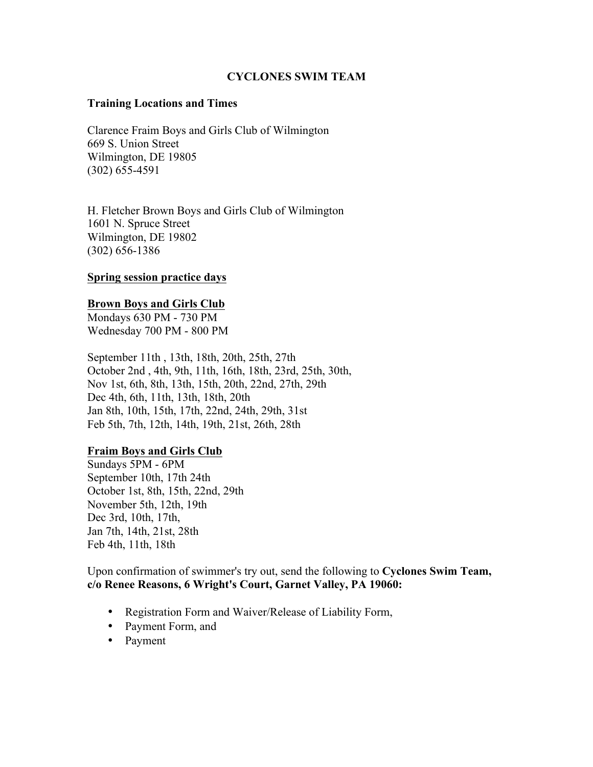#### **Training Locations and Times**

Clarence Fraim Boys and Girls Club of Wilmington 669 S. Union Street Wilmington, DE 19805 (302) 655-4591

H. Fletcher Brown Boys and Girls Club of Wilmington 1601 N. Spruce Street Wilmington, DE 19802 (302) 656-1386

### **Spring session practice days**

#### **Brown Boys and Girls Club**

Mondays 630 PM - 730 PM Wednesday 700 PM - 800 PM

September 11th , 13th, 18th, 20th, 25th, 27th October 2nd , 4th, 9th, 11th, 16th, 18th, 23rd, 25th, 30th, Nov 1st, 6th, 8th, 13th, 15th, 20th, 22nd, 27th, 29th Dec 4th, 6th, 11th, 13th, 18th, 20th Jan 8th, 10th, 15th, 17th, 22nd, 24th, 29th, 31st Feb 5th, 7th, 12th, 14th, 19th, 21st, 26th, 28th

#### **Fraim Boys and Girls Club**

Sundays 5PM - 6PM September 10th, 17th 24th October 1st, 8th, 15th, 22nd, 29th November 5th, 12th, 19th Dec 3rd, 10th, 17th, Jan 7th, 14th, 21st, 28th Feb 4th, 11th, 18th

Upon confirmation of swimmer's try out, send the following to **Cyclones Swim Team, c/o Renee Reasons, 6 Wright's Court, Garnet Valley, PA 19060:**

- Registration Form and Waiver/Release of Liability Form,
- Payment Form, and
- Payment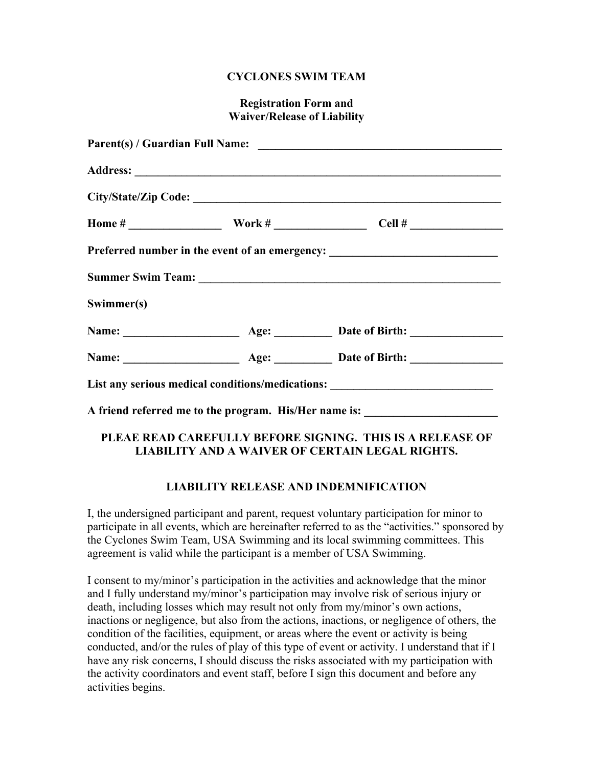## **Registration Form and Waiver/Release of Liability**

|            |  | Preferred number in the event of an emergency: _________________________________ |  |  |
|------------|--|----------------------------------------------------------------------------------|--|--|
|            |  |                                                                                  |  |  |
| Swimmer(s) |  |                                                                                  |  |  |
|            |  | Name: <u>Name:</u> Age: 1998 Age: 1998 Date of Birth:                            |  |  |
|            |  |                                                                                  |  |  |
|            |  | List any serious medical conditions/medications: _______________________________ |  |  |
|            |  | A friend referred me to the program. His/Her name is: __________________________ |  |  |

# **PLEAE READ CAREFULLY BEFORE SIGNING. THIS IS A RELEASE OF LIABILITY AND A WAIVER OF CERTAIN LEGAL RIGHTS.**

# **LIABILITY RELEASE AND INDEMNIFICATION**

I, the undersigned participant and parent, request voluntary participation for minor to participate in all events, which are hereinafter referred to as the "activities." sponsored by the Cyclones Swim Team, USA Swimming and its local swimming committees. This agreement is valid while the participant is a member of USA Swimming.

I consent to my/minor's participation in the activities and acknowledge that the minor and I fully understand my/minor's participation may involve risk of serious injury or death, including losses which may result not only from my/minor's own actions, inactions or negligence, but also from the actions, inactions, or negligence of others, the condition of the facilities, equipment, or areas where the event or activity is being conducted, and/or the rules of play of this type of event or activity. I understand that if I have any risk concerns, I should discuss the risks associated with my participation with the activity coordinators and event staff, before I sign this document and before any activities begins.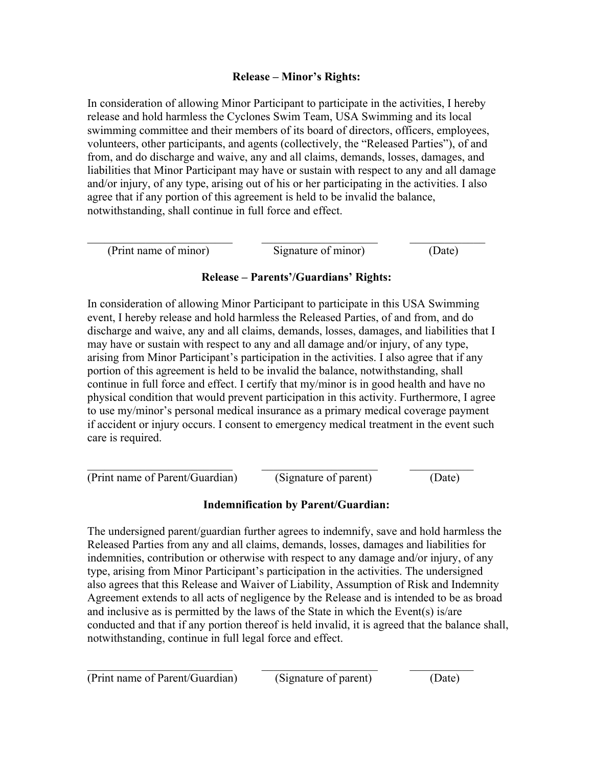# **Release – Minor's Rights:**

In consideration of allowing Minor Participant to participate in the activities, I hereby release and hold harmless the Cyclones Swim Team, USA Swimming and its local swimming committee and their members of its board of directors, officers, employees, volunteers, other participants, and agents (collectively, the "Released Parties"), of and from, and do discharge and waive, any and all claims, demands, losses, damages, and liabilities that Minor Participant may have or sustain with respect to any and all damage and/or injury, of any type, arising out of his or her participating in the activities. I also agree that if any portion of this agreement is held to be invalid the balance, notwithstanding, shall continue in full force and effect.

| (Print name of minor) | Signature of minor) | (Date) |
|-----------------------|---------------------|--------|

# **Release – Parents'/Guardians' Rights:**

In consideration of allowing Minor Participant to participate in this USA Swimming event, I hereby release and hold harmless the Released Parties, of and from, and do discharge and waive, any and all claims, demands, losses, damages, and liabilities that I may have or sustain with respect to any and all damage and/or injury, of any type, arising from Minor Participant's participation in the activities. I also agree that if any portion of this agreement is held to be invalid the balance, notwithstanding, shall continue in full force and effect. I certify that my/minor is in good health and have no physical condition that would prevent participation in this activity. Furthermore, I agree to use my/minor's personal medical insurance as a primary medical coverage payment if accident or injury occurs. I consent to emergency medical treatment in the event such care is required.

(Print name of Parent/Guardian) (Signature of parent) (Date)

# **Indemnification by Parent/Guardian:**

 $\_$  , and the contribution of  $\overline{\mathcal{L}}$  , and  $\overline{\mathcal{L}}$  , and  $\overline{\mathcal{L}}$  , and  $\overline{\mathcal{L}}$  , and  $\overline{\mathcal{L}}$ 

The undersigned parent/guardian further agrees to indemnify, save and hold harmless the Released Parties from any and all claims, demands, losses, damages and liabilities for indemnities, contribution or otherwise with respect to any damage and/or injury, of any type, arising from Minor Participant's participation in the activities. The undersigned also agrees that this Release and Waiver of Liability, Assumption of Risk and Indemnity Agreement extends to all acts of negligence by the Release and is intended to be as broad and inclusive as is permitted by the laws of the State in which the Event(s) is/are conducted and that if any portion thereof is held invalid, it is agreed that the balance shall, notwithstanding, continue in full legal force and effect.